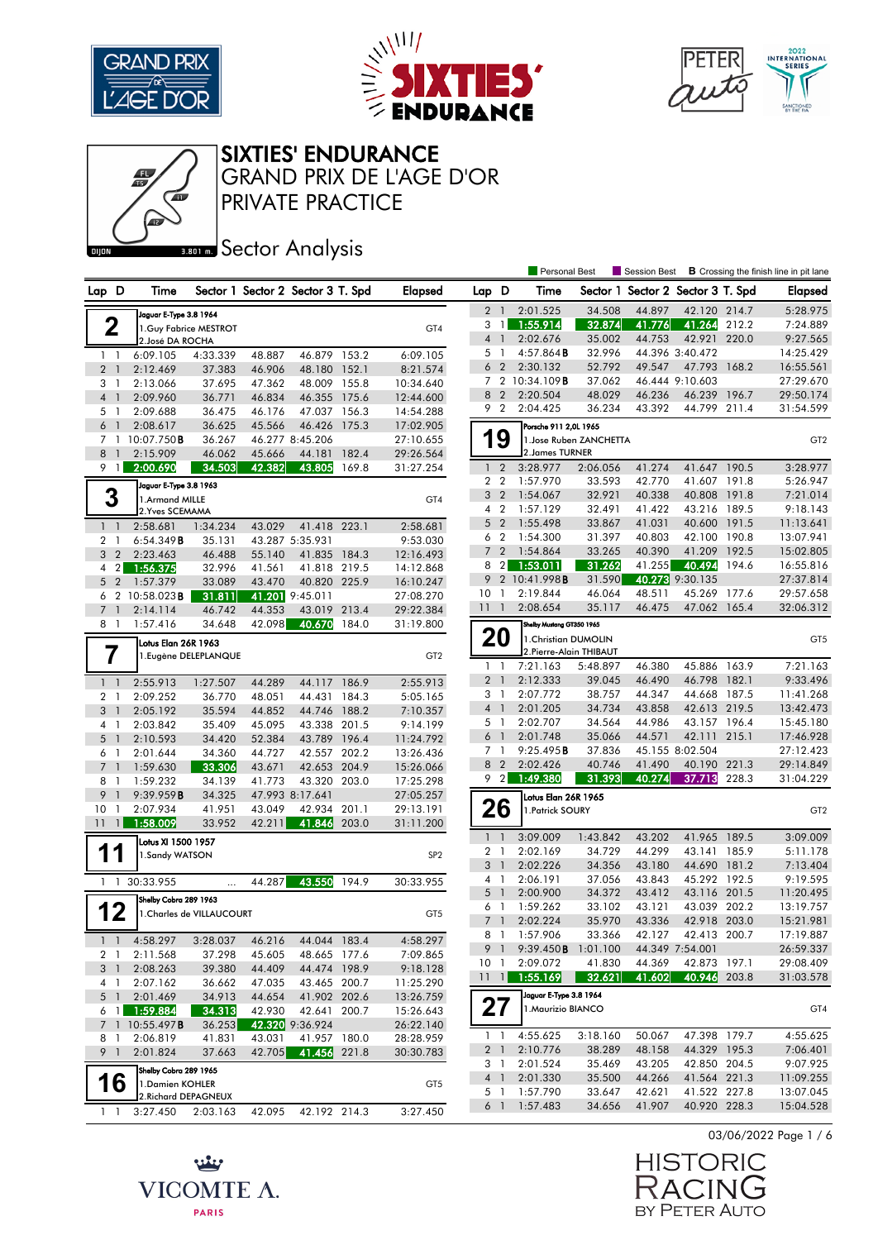

بينيه

VICOMTE A.

**PARIS** 





## SIXTIES' ENDURANCE

PRIVATE PRACTICE GRAND PRIX DE L'AGE D'OR

# **Bank** Sector Analysis

|                      |                            |                           |        |                                   |       |                 |                 |                | Personal Best             |                         | Session Best                      |                 |       | <b>B</b> Crossing the finish line in pit lane |
|----------------------|----------------------------|---------------------------|--------|-----------------------------------|-------|-----------------|-----------------|----------------|---------------------------|-------------------------|-----------------------------------|-----------------|-------|-----------------------------------------------|
| Lap D                | Time                       |                           |        | Sector 1 Sector 2 Sector 3 T. Spd |       | <b>Elapsed</b>  | Lap D           |                | Time                      |                         | Sector 1 Sector 2 Sector 3 T. Spd |                 |       | <b>Elapsed</b>                                |
|                      | Jaguar E-Type 3.8 1964     |                           |        |                                   |       |                 |                 | 2 <sub>1</sub> | 2:01.525                  | 34.508                  | 44.897                            | 42.120 214.7    |       | 5:28.975                                      |
| 2                    |                            | 1.Guy Fabrice MESTROT     |        |                                   |       | GT4             |                 | 3 1            | 1:55.914                  | 32.874                  | 41.776                            | 41.264 212.2    |       | 7:24.889                                      |
|                      | 2. José DA ROCHA           |                           |        |                                   |       |                 | 4 1             |                | 2:02.676                  | 35.002                  | 44.753                            | 42.921          | 220.0 | 9:27.565                                      |
| $1\quad$             | 6:09.105                   | 4:33.339                  | 48.887 | 46.879 153.2                      |       | 6:09.105        | 5 <sub>1</sub>  |                | 4:57.864B                 | 32.996                  |                                   | 44.396 3:40.472 |       | 14:25.429                                     |
| 2 <sub>1</sub>       | 2:12.469                   | 37.383                    | 46.906 | 48.180 152.1                      |       | 8:21.574        |                 | 6 <sub>2</sub> | 2:30.132                  | 52.792                  | 49.547                            | 47.793 168.2    |       | 16:55.561                                     |
| 3 1                  | 2:13.066                   | 37.695                    | 47.362 | 48.009 155.8                      |       | 10:34.640       |                 |                | 7 2 10:34.109B            | 37.062                  |                                   | 46.444 9:10.603 |       | 27:29.670                                     |
| 4 <sup>1</sup>       | 2:09.960                   | 36.771                    | 46.834 | 46.355 175.6                      |       | 12:44.600       |                 | 8 <sub>2</sub> | 2:20.504                  | 48.029                  | 46.236                            | 46.239          | 196.7 | 29:50.174                                     |
| 5 1                  | 2:09.688                   | 36.475                    | 46.176 | 47.037 156.3                      |       | 14:54.288       |                 | 9 2            | 2:04.425                  | 36.234                  | 43.392                            | 44.799 211.4    |       | 31:54.599                                     |
| 6<br>$\overline{1}$  | 2:08.617                   | 36.625                    | 45.566 | 46.426 175.3                      |       | 17:02.905       |                 |                | Porsche 911 2,0L 1965     |                         |                                   |                 |       |                                               |
|                      | 7 1 10:07.750 <b>B</b>     | 36.267                    |        | 46.277 8:45.206                   |       | 27:10.655       |                 | 9              |                           | 1. Jose Ruben ZANCHETTA |                                   |                 |       | GT <sub>2</sub>                               |
| 8<br>$\overline{1}$  | 2:15.909                   | 46.062                    | 45.666 | 44.181                            | 182.4 | 29:26.564       |                 |                | 2. James TURNER           |                         |                                   |                 |       |                                               |
| 9 1                  | 2:00.690                   | 34.503                    | 42.382 | 43.805                            | 169.8 | 31:27.254       |                 | $1\quad 2$     | 3:28.977                  | 2:06.056                | 41.274                            | 41.647 190.5    |       | 3:28.977                                      |
|                      |                            |                           |        |                                   |       |                 |                 | 2 <sub>2</sub> | 1:57.970                  | 33.593                  | 42.770                            | 41.607 191.8    |       | 5:26.947                                      |
|                      | Jaguar E-Type 3.8 1963     |                           |        |                                   |       |                 | 3               | $\overline{2}$ | 1:54.067                  | 32.921                  | 40.338                            | 40.808          | 191.8 | 7:21.014                                      |
| 3                    | 1.Armand MILLE             |                           |        |                                   |       | GT4             |                 | 4 <sup>2</sup> | 1:57.129                  | 32.491                  | 41.422                            | 43.216 189.5    |       | 9:18.143                                      |
|                      | 2. Yves SCEMAMA            |                           |        |                                   |       |                 |                 | 5 <sub>2</sub> | 1:55.498                  | 33.867                  | 41.031                            | 40.600 191.5    |       | 11:13.641                                     |
| $1 \quad 1$          | 2:58.681                   | 1:34.234                  | 43.029 | 41.418 223.1                      |       | 2:58.681        |                 | 6 <sub>2</sub> | 1:54.300                  | 31.397                  | 40.803                            | 42.100 190.8    |       | 13:07.941                                     |
| 2 <sub>1</sub>       | 6:54.349B                  | 35.131                    |        | 43.287 5:35.931                   |       | 9:53.030        | $7^{\circ}$     | $\overline{2}$ | 1:54.864                  | 33.265                  | 40.390                            | 41.209          | 192.5 | 15:02.805                                     |
| 3 <sub>2</sub>       | 2:23.463                   | 46.488                    | 55.140 | 41.835 184.3                      |       | 12:16.493       | 8               | 2              | 1:53.011                  | 31.262                  | 41.255                            | 40.494          | 194.6 | 16:55.816                                     |
| $4 \quad 2$          | 1:56.375                   | 32.996                    | 41.561 | 41.818 219.5                      |       | 14:12.868       | 9               |                | 2 10:41.998B              | 31.590                  |                                   | 40.273 9:30.135 |       | 27:37.814                                     |
| 5 <sub>2</sub>       | 1:57.379                   | 33.089                    | 43.470 | 40.820 225.9                      |       | 16:10.247       | 10 <sup>°</sup> | $\overline{1}$ | 2:19.844                  | 46.064                  | 48.511                            | 45.269 177.6    |       | 29:57.658                                     |
|                      | 6 2 10:58.023B             | 31.811                    |        | 41.201 9:45.011                   |       | 27:08.270       | 11              | $\overline{1}$ | 2:08.654                  | 35.117                  | 46.475                            | 47.062 165.4    |       | 32:06.312                                     |
| 7 <sub>1</sub>       | 2:14.114                   | 46.742                    | 44.353 | 43.019 213.4                      |       | 29:22.384       |                 |                |                           |                         |                                   |                 |       |                                               |
| 8 1                  | 1:57.416                   | 34.648                    | 42.098 | 40.670                            | 184.0 | 31:19.800       |                 |                | Shelby Mustang GT350 1965 |                         |                                   |                 |       |                                               |
|                      | Lotus Elan 26R 1963        |                           |        |                                   |       |                 |                 | <b>20</b>      | 1. Christian DUMOLIN      |                         |                                   |                 |       | GT <sub>5</sub>                               |
| 7                    |                            | 1. Eugène DELEPLANQUE     |        |                                   |       | GT <sub>2</sub> |                 |                | 2. Pierre-Alain THIBAUT   |                         |                                   |                 |       |                                               |
|                      |                            |                           |        |                                   |       |                 | $\mathbf{1}$    | $\mathbf{1}$   | 7:21.163                  | 5:48.897                | 46.380                            | 45.886 163.9    |       | 7:21.163                                      |
| $1\quad$             | 2:55.913                   | 1:27.507                  | 44.289 | 44.117 186.9                      |       | 2:55.913        | 2 <sub>1</sub>  |                | 2:12.333                  | 39.045                  | 46.490                            | 46.798 182.1    |       | 9:33.496                                      |
| 2 <sub>1</sub>       | 2:09.252                   | 36.770                    | 48.051 | 44.431 184.3                      |       | 5:05.165        |                 | 3 1            | 2:07.772                  | 38.757                  | 44.347                            | 44.668 187.5    |       | 11:41.268                                     |
| 3<br>-1              | 2:05.192                   | 35.594                    | 44.852 | 44.746 188.2                      |       | 7:10.357        | 4 <sup>1</sup>  |                | 2:01.205                  | 34.734                  | 43.858                            | 42.613 219.5    |       | 13:42.473                                     |
| 4 1                  | 2:03.842                   | 35.409                    | 45.095 | 43.338 201.5                      |       | 9:14.199        |                 | 5 1            | 2:02.707                  | 34.564                  | 44.986                            | 43.157 196.4    |       | 15:45.180                                     |
| 5<br>$\overline{1}$  | 2:10.593                   | 34.420                    | 52.384 | 43.789 196.4                      |       | 11:24.792       | 6 <sup>1</sup>  |                | 2:01.748                  | 35.066                  | 44.571                            | 42.111 215.1    |       | 17:46.928                                     |
| 6<br>$\overline{1}$  | 2:01.644                   | 34.360                    | 44.727 | 42.557                            | 202.2 | 13:26.436       |                 | 7 <sub>1</sub> | 9:25.495B                 | 37.836                  |                                   | 45.155 8:02.504 |       | 27:12.423                                     |
| 7<br>$\overline{1}$  | 1:59.630                   | 33.306                    | 43.671 | 42.653 204.9                      |       | 15:26.066       |                 | 8 2            | 2:02.426                  | 40.746                  | 41.490                            | 40.190 221.3    |       | 29:14.849                                     |
| 8 1                  | 1:59.232                   | 34.139                    | 41.773 | 43.320 203.0                      |       | 17:25.298       |                 | 9 <sup>2</sup> | 1:49.380                  | 31.393                  | 40.274                            | 37.713          | 228.3 | 31:04.229                                     |
| 9<br>$\mathbf{1}$    | 9:39.959B                  | 34.325                    |        | 47.993 8:17.641                   |       | 27:05.257       |                 |                | Lotus Elan 26R 1965       |                         |                                   |                 |       |                                               |
| 10 <sub>1</sub>      | 2:07.934                   | 41.951                    | 43.049 | 42.934 201.1                      |       | 29:13.191       |                 | 26             | 1. Patrick SOURY          |                         |                                   |                 |       | GT <sub>2</sub>                               |
| 11<br>$\overline{1}$ | 1:58.009                   | 33.952                    | 42.211 | 41.846                            | 203.0 | 31:11.200       |                 |                |                           |                         |                                   |                 |       |                                               |
|                      | Lotus XI 1500 1957         |                           |        |                                   |       |                 | 1 <sup>1</sup>  |                | 3:09.009                  | 1:43.842                | 43.202                            | 41.965 189.5    |       | 3:09.009                                      |
| Ш                    | 1.Sandy WATSON             |                           |        |                                   |       | SP <sub>2</sub> | $\overline{2}$  | $\mathbf{1}$   | 2:02.169                  | 34.729                  | 44.299                            | 43.141 185.9    |       | 5:11.178                                      |
|                      |                            |                           |        |                                   |       |                 | 3               | $\overline{1}$ | 2:02.226                  | 34.356                  | 43.180                            | 44.690 181.2    |       | 7:13.404                                      |
|                      | 1 1 30:33.955              | .                         | 44.287 | 43.550                            | 194.9 | 30:33.955       | $4-1$           |                | 2:06.191                  | 37.056                  | 43.843                            | 45.292 192.5    |       | 9:19.595                                      |
|                      | Shelby Cobra 289 1963      |                           |        |                                   |       |                 | $5-1$           |                | 2:00.900                  | 34.372                  | 43.412                            | 43.116 201.5    |       | 11:20.495                                     |
| 12                   |                            | 1. Charles de VILLAUCOURT |        |                                   |       | GT5             | 6 1             |                | 1:59.262                  | 33.102                  | 43.121                            | 43.039 202.2    |       | 13:19.757                                     |
|                      |                            |                           |        |                                   |       |                 | $\overline{7}$  | $\overline{1}$ | 2:02.224                  | 35.970                  | 43.336                            | 42.918 203.0    |       | 15:21.981                                     |
|                      | $1 \quad 1 \quad 4:58.297$ | 3:28.037                  | 46.216 | 44.044 183.4                      |       | 4:58.297        |                 |                | 8 1 1:57.906              | 33.366                  | 42.127                            | 42.413 200.7    |       | 17:19.887                                     |
| 2 1                  | 2:11.568                   | 37.298                    | 45.605 | 48.665 177.6                      |       | 7:09.865        |                 | 9 1            | 9:39.450B                 | 1:01.100                |                                   | 44.349 7:54.001 |       | 26:59.337                                     |
| 3 1                  | 2:08.263                   | 39.380                    | 44.409 | 44.474 198.9                      |       | 9:18.128        | 10 <sub>1</sub> |                | 2:09.072                  | 41.830                  | 44.369                            | 42.873 197.1    |       | 29:08.409                                     |
| 4 1                  | 2:07.162                   | 36.662                    | 47.035 | 43.465 200.7                      |       | 11:25.290       | $11 \quad 1$    |                | 1:55.169                  | 32.621                  | 41.602                            | 40.946 203.8    |       | 31:03.578                                     |
| 5 <sub>1</sub>       | 2:01.469                   | 34.913                    | 44.654 | 41.902 202.6                      |       | 13:26.759       |                 |                | Jaguar E-Type 3.8 1964    |                         |                                   |                 |       |                                               |
| 6 <sub>1</sub>       | 1:59.884                   | 34.313                    | 42.930 | 42.641 200.7                      |       | 15:26.643       |                 | 27             | 1. Maurizio BIANCO        |                         |                                   |                 |       | GT4                                           |
|                      | 7 1 10:55.497B             | 36.253                    |        | 42.320 9:36.924                   |       | 26:22.140       |                 |                |                           |                         |                                   |                 |       |                                               |
| 8 1                  | 2:06.819                   | 41.831                    | 43.031 | 41.957 180.0                      |       | 28:28.959       |                 | 1 <sub>1</sub> | 4:55.625                  | 3:18.160                | 50.067                            | 47.398 179.7    |       | 4:55.625                                      |
| 9 <sub>1</sub>       | 2:01.824                   | 37.663                    | 42.705 | 41.456 221.8                      |       | 30:30.783       |                 | 2 <sub>1</sub> | 2:10.776                  | 38.289                  | 48.158                            | 44.329 195.3    |       | 7:06.401                                      |
|                      | Shelby Cobra 289 1965      |                           |        |                                   |       |                 |                 | 3 1            | 2:01.524                  | 35.469                  | 43.205                            | 42.850 204.5    |       | 9:07.925                                      |
| 16                   | 1. Damien KOHLER           |                           |        |                                   |       | GT <sub>5</sub> |                 | $4 \quad 1$    | 2:01.330                  | 35.500                  | 44.266                            | 41.564 221.3    |       | 11:09.255                                     |
|                      | 2. Richard DEPAGNEUX       |                           |        |                                   |       |                 |                 | 5 <sub>1</sub> | 1:57.790                  | 33.647                  | 42.621                            | 41.522 227.8    |       | 13:07.045                                     |
| $1\quad1$            | 3:27.450                   | 2:03.163                  | 42.095 | 42.192 214.3                      |       | 3:27.450        |                 | 6 1            | 1:57.483                  | 34.656                  | 41.907                            | 40.920 228.3    |       | 15:04.528                                     |
|                      |                            |                           |        |                                   |       |                 |                 |                |                           |                         |                                   |                 |       |                                               |

03/06/2022 Page 1 / 6

**HISTORIC** RACIN È BY PETER AUTO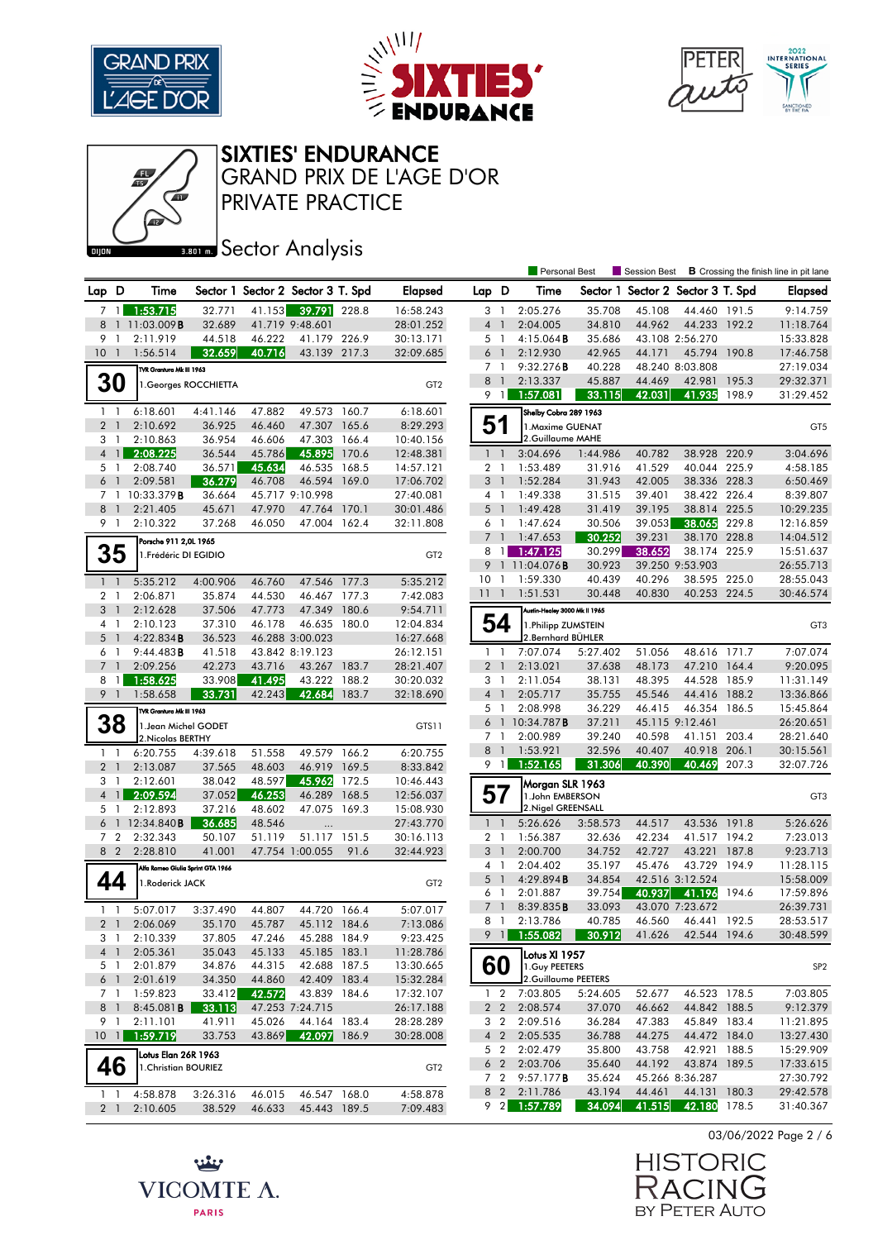





#### SIXTIES' ENDURANCE

PRIVATE PRACTICE GRAND PRIX DE L'AGE D'OR

## **BRONES** Sector Analysis

بينيه

VICOMTE A.

**PARIS** 

|       |                                  |                                   |                       |                  |                                   |       |                        |                                  |                | Personal Best                            |                  |                                   |                                 |                | Session Best <b>B</b> Crossing the finish line in pit lane |
|-------|----------------------------------|-----------------------------------|-----------------------|------------------|-----------------------------------|-------|------------------------|----------------------------------|----------------|------------------------------------------|------------------|-----------------------------------|---------------------------------|----------------|------------------------------------------------------------|
| Lap D |                                  | Time                              |                       |                  | Sector 1 Sector 2 Sector 3 T. Spd |       | <b>Elapsed</b>         | Lap D                            |                | Time                                     |                  | Sector 1 Sector 2 Sector 3 T. Spd |                                 |                | <b>Elapsed</b>                                             |
|       | 7 <sup>1</sup>                   | 1:53.715                          | 32.771                |                  | 41.153 39.791 228.8               |       | 16:58.243              | 3 <sup>1</sup>                   |                | 2:05.276                                 | 35.708           | 45.108                            | 44.460 191.5                    |                | 9:14.759                                                   |
| 8     |                                  | 1 11:03.009 <b>B</b>              | 32.689                |                  | 41.719 9:48.601                   |       | 28:01.252              | 4 <sup>1</sup>                   |                | 2:04.005                                 | 34.810           | 44.962                            | 44.233 192.2                    |                | 11:18.764                                                  |
| 9     | $\overline{1}$                   | 2:11.919                          | 44.518                | 46.222           | 41.179 226.9                      |       | 30:13.171              | 5 <sub>1</sub>                   |                | 4:15.064B                                | 35.686           |                                   | 43.108 2:56.270                 |                | 15:33.828                                                  |
|       | 10 <sub>1</sub>                  | 1:56.514                          | 32.659                | 40.716           | 43.139 217.3                      |       | 32:09.685              | $6-1$                            |                | 2:12.930                                 | 42.965           | 44.171                            | 45.794                          | 190.8          | 17:46.758                                                  |
|       |                                  | TVR Grantura Mk III 1963          |                       |                  |                                   |       |                        | 7 <sub>1</sub>                   |                | 9:32.276B                                | 40.228           |                                   | 48.240 8:03.808                 |                | 27:19.034                                                  |
|       | <b>30</b>                        |                                   | 1. Georges ROCCHIETTA |                  |                                   |       | GT <sub>2</sub>        | 8 1                              |                | 2:13.337                                 | 45.887           | 44.469                            | 42.981 195.3                    |                | 29:32.371                                                  |
|       |                                  |                                   |                       |                  |                                   |       |                        |                                  | $9 \mid$       | 1:57.081                                 | 33.115           | 42.031                            | 41.935                          | 198.9          | 31:29.452                                                  |
|       | $1\quad$                         | 6:18.601                          | 4:41.146              | 47.882           | 49.573 160.7                      |       | 6:18.601               |                                  |                | Shelby Cobra 289 1963                    |                  |                                   |                                 |                |                                                            |
|       | 2 <sub>1</sub>                   | 2:10.692                          | 36.925                | 46.460           | 47.307 165.6                      |       | 8:29.293               | 51                               |                | 1. Maxime GUENAT                         |                  |                                   |                                 |                | GT <sub>5</sub>                                            |
|       | 3 1                              | 2:10.863                          | 36.954                | 46.606           | 47.303 166.4                      |       | 10:40.156              |                                  |                | 2.Guillaume MAHE                         |                  |                                   |                                 |                |                                                            |
|       | $4 \mid 1 \mid$                  | 2:08.225                          | 36.544                | 45.786           | 45.895                            | 170.6 | 12:48.381              | $1\quad$                         |                | 3:04.696                                 | 1:44.986         | 40.782                            | 38.928 220.9                    |                | 3:04.696                                                   |
|       | 5 1                              | 2:08.740                          | 36.571                | 45.634           | 46.535                            | 168.5 | 14:57.121              | 2 <sub>1</sub>                   |                | 1:53.489                                 | 31.916           | 41.529                            | 40.044                          | 225.9          | 4:58.185                                                   |
|       | $6-1$                            | 2:09.581                          | 36.279                | 46.708           | 46.594 169.0                      |       | 17:06.702              | 3 <sup>1</sup>                   |                | 1:52.284                                 | 31.943           | 42.005                            | 38.336 228.3                    |                | 6:50.469                                                   |
|       |                                  | 7 1 10:33.379 <b>B</b>            | 36.664                |                  | 45.717 9:10.998                   |       | 27:40.081              | $4-1$                            |                | 1:49.338                                 | 31.515           | 39.401                            | 38.422 226.4                    |                | 8:39.807                                                   |
|       | 8 <sup>1</sup>                   | 2:21.405                          | 45.671                | 47.970           | 47.764 170.1                      |       | 30:01.486              | 5 <sub>1</sub>                   |                | 1:49.428                                 | 31.419           | 39.195                            | 38.814 225.5                    |                | 10:29.235                                                  |
|       | 9 1                              | 2:10.322                          | 37.268                | 46.050           | 47.004 162.4                      |       | 32:11.808              | 6 1                              |                | 1:47.624                                 | 30.506           | 39.053                            | 38.065                          | 229.8          | 12:16.859                                                  |
|       |                                  | Porsche 911 2,0L 1965             |                       |                  |                                   |       |                        | 7 <sup>1</sup>                   |                | 1:47.653                                 | 30.252           | 39.231                            | 38.170 228.8                    |                | 14:04.512                                                  |
|       | 35                               | 1. Frédéric DI EGIDIO             |                       |                  |                                   |       | GT <sub>2</sub>        |                                  | $8 \mid 1$     | 1:47.125                                 | 30.299           | 38.652                            | 38.174 225.9                    |                | 15:51.637                                                  |
|       |                                  |                                   |                       |                  |                                   |       |                        | 10 <sub>1</sub>                  |                | 9 1 11:04.076 <b>B</b><br>1:59.330       | 30.923<br>40.439 | 40.296                            | 39.250 9:53.903<br>38.595 225.0 |                | 26:55.713<br>28:55.043                                     |
|       | $1 \quad 1$                      | 5:35.212                          | 4:00.906              | 46.760           | 47.546 177.3                      |       | 5:35.212               | 111                              |                | 1:51.531                                 | 30.448           | 40.830                            | 40.253 224.5                    |                | 30:46.574                                                  |
|       | 2 <sub>1</sub>                   | 2:06.871                          | 35.874                | 44.530           | 46.467 177.3                      |       | 7:42.083               |                                  |                |                                          |                  |                                   |                                 |                |                                                            |
|       | 3 <sup>1</sup>                   | 2:12.628                          | 37.506                | 47.773           | 47.349 180.6                      |       | 9:54.711               |                                  |                | Austin-Healey 3000 Mk II 1965            |                  |                                   |                                 |                |                                                            |
|       | 4 1                              | 2:10.123                          | 37.310                | 46.178           | 46.635 180.0                      |       | 12:04.834              |                                  | 54             | 1. Philipp ZUMSTEIN<br>2.Bernhard BÜHLER |                  |                                   |                                 |                | GT <sub>3</sub>                                            |
|       | 5 <sub>1</sub>                   | 4:22.834B                         | 36.523                |                  | 46.288 3:00.023                   |       | 16:27.668              |                                  |                |                                          |                  |                                   |                                 |                |                                                            |
|       | 6 1                              | 9:44.483B<br>2:09.256             | 41.518                |                  | 43.842 8:19.123                   |       | 26:12.151<br>28:21.407 | 1 <sub>1</sub><br>2 <sub>1</sub> |                | 7:07.074<br>2:13.021                     | 5:27.402         | 51.056<br>48.173                  | 48.616 171.7<br>47.210          |                | 7:07.074                                                   |
| 8     | 7 <sup>1</sup><br>$\overline{1}$ | 1:58.625                          | 42.273<br>33.908      | 43.716<br>41.495 | 43.267 183.7<br>43.222 188.2      |       | 30:20.032              | 3 <sub>1</sub>                   |                | 2:11.054                                 | 37.638<br>38.131 | 48.395                            | 44.528                          | 164.4<br>185.9 | 9:20.095<br>11:31.149                                      |
|       | 9 <sub>1</sub>                   | 1:58.658                          | 33.731                | 42.243           | 42.684 183.7                      |       | 32:18.690              | 4 <sup>1</sup>                   |                | 2:05.717                                 | 35.755           | 45.546                            | 44.416 188.2                    |                | 13:36.866                                                  |
|       |                                  |                                   |                       |                  |                                   |       |                        | 5 <sub>1</sub>                   |                | 2:08.998                                 | 36.229           | 46.415                            | 46.354 186.5                    |                | 15:45.864                                                  |
|       |                                  | TVR Grantura Mk III 1963          |                       |                  |                                   |       |                        |                                  |                | 6 1 10:34.787 <b>B</b>                   | 37.211           |                                   | 45.115 9:12.461                 |                | 26:20.651                                                  |
|       | 38                               | 1. Jean Michel GODET              |                       |                  |                                   |       | GTS11                  | 7 <sub>1</sub>                   |                | 2:00.989                                 | 39.240           | 40.598                            | 41.151 203.4                    |                | 28:21.640                                                  |
|       |                                  | 2. Nicolas BERTHY                 |                       |                  | 49.579 166.2                      |       |                        | 8 <sup>1</sup>                   |                | 1:53.921                                 | 32.596           | 40.407                            | 40.918                          | 206.1          | 30:15.561                                                  |
|       | $1 \quad 1$<br>2 <sub>1</sub>    | 6:20.755<br>2:13.087              | 4:39.618<br>37.565    | 51.558<br>48.603 | 46.919 169.5                      |       | 6:20.755<br>8:33.842   |                                  | 9 1            | 1:52.165                                 | 31.306           | 40.390                            | 40.469                          | 207.3          | 32:07.726                                                  |
|       | 3 1                              | 2:12.601                          | 38.042                | 48.597           | 45.962 172.5                      |       | 10:46.443              |                                  |                |                                          |                  |                                   |                                 |                |                                                            |
|       | $4 \mid$                         | 2:09.594                          | 37.052                | 46.253           | 46.289                            | 168.5 | 12:56.037              |                                  | 57             | Morgan SLR 1963<br>1.John EMBERSON       |                  |                                   |                                 |                | GT <sub>3</sub>                                            |
|       | 5 1                              | 2:12.893                          | 37.216                | 48.602           | 47.075 169.3                      |       | 15:08.930              |                                  |                | 2. Nigel GREENSALL                       |                  |                                   |                                 |                |                                                            |
|       |                                  | 6 1 12:34.840B                    | 36.685                | 48.546           |                                   |       | 27:43.770              | $1\quad$                         |                | 5:26.626                                 | 3:58.573         | 44.517                            | 43.536 191.8                    |                | 5:26.626                                                   |
|       | 7 <sup>2</sup>                   | 2:32.343                          | 50.107                | 51.119           | 51.117                            | 151.5 | 30:16.113              | 2 <sub>1</sub>                   |                | 1:56.387                                 | 32.636           | 42.234                            | 41.517 194.2                    |                | 7:23.013                                                   |
|       | 8 2                              | 2:28.810                          | 41.001                |                  | 47.754 1:00.055                   | 91.6  | 32:44.923              | $3-1$                            |                | 2:00.700                                 | 34.752           | 42.727                            | 43.221 187.8                    |                | 9:23.713                                                   |
|       |                                  | Alfa Romeo Giulia Sprint GTA 1966 |                       |                  |                                   |       |                        | $4-1$                            |                | 2:04.402                                 | 35.197           | 45.476                            | 43.729 194.9                    |                | 11:28.115                                                  |
|       | 44                               | 1.Roderick JACK                   |                       |                  |                                   |       | GT <sub>2</sub>        | $5-1$                            |                | 4:29.894B                                | 34.854           |                                   | 42.516 3:12.524                 |                | 15:58.009                                                  |
|       |                                  |                                   |                       |                  |                                   |       |                        | 6 1                              |                | 2:01.887                                 | 39.754           | 40.937                            | 41.196                          | 194.6          | 17:59.896                                                  |
|       | $1\quad$                         | 5:07.017                          | 3:37.490              | 44.807           | 44.720 166.4                      |       | 5:07.017               | 7 <sup>1</sup>                   |                | 8:39.835B                                | 33.093           |                                   | 43.070 7:23.672                 |                | 26:39.731                                                  |
|       | 2 <sub>1</sub>                   | 2:06.069                          | 35.170                | 45.787           | 45.112 184.6                      |       | 7:13.086               | 8 1                              |                | 2:13.786                                 | 40.785           | 46.560                            | 46.441 192.5                    |                | 28:53.517                                                  |
|       | 31                               | 2:10.339                          | 37.805                | 47.246           | 45.288 184.9                      |       | 9:23.425               |                                  |                | $9 \quad 1 \quad 1:55.082$               | 30.912           | 41.626                            | 42.544 194.6                    |                | 30:48.599                                                  |
|       | 4 1                              | 2:05.361                          | 35.043                | 45.133           | 45.185 183.1                      |       | 11:28.786              |                                  |                |                                          |                  |                                   |                                 |                |                                                            |
|       | 5 1                              | 2:01.879                          | 34.876                | 44.315           | 42.688 187.5                      |       | 13:30.665              |                                  | 60             | Lotus XI 1957<br>1. Guy PEETERS          |                  |                                   |                                 |                | SP <sub>2</sub>                                            |
|       | $6-1$                            | 2:01.619                          | 34.350                | 44.860           | 42.409 183.4                      |       | 15:32.284              |                                  |                | 2.Guillaume PEETERS                      |                  |                                   |                                 |                |                                                            |
|       | 7 1                              | 1:59.823                          | 33.412                | 42.572           | 43.839 184.6                      |       | 17:32.107              |                                  | $1\quad 2$     | 7:03.805                                 | 5:24.605         | 52.677                            | 46.523 178.5                    |                | 7:03.805                                                   |
|       | 8 1                              | 8:45.081B                         | 33.113                |                  | 47.253 7:24.715                   |       | 26:17.188              |                                  | 2 <sub>2</sub> | 2:08.574                                 | 37.070           | 46.662                            | 44.842 188.5                    |                | 9:12.379                                                   |
|       | 9 1                              | 2:11.101                          | 41.911                | 45.026           | 44.164 183.4                      |       | 28:28.289              |                                  | 3 2            | 2:09.516                                 | 36.284           | 47.383                            | 45.849 183.4                    |                | 11:21.895                                                  |
|       | 101                              | 1:59.719                          | 33.753                | 43.869           | 42.097 186.9                      |       | 30:28.008              |                                  | 4 <sup>2</sup> | 2:05.535                                 | 36.788           | 44.275                            | 44.472 184.0                    |                | 13:27.430                                                  |
|       |                                  | Lotus Elan 26R 1963               |                       |                  |                                   |       |                        |                                  | 5 <sub>2</sub> | 2:02.479                                 | 35.800           | 43.758                            | 42.921 188.5                    |                | 15:29.909                                                  |
|       | 46                               | 1. Christian BOURIEZ              |                       |                  |                                   |       | GT <sub>2</sub>        |                                  | 6 <sub>2</sub> | 2:03.706                                 | 35.640           | 44.192                            | 43.874 189.5                    |                | 17:33.615                                                  |
|       |                                  |                                   |                       |                  |                                   |       |                        |                                  | 7 <sub>2</sub> | 9:57.177B                                | 35.624           |                                   | 45.266 8:36.287                 |                | 27:30.792                                                  |
|       | 1 <sub>1</sub>                   | 4:58.878                          | 3:26.316              | 46.015           | 46.547 168.0                      |       | 4:58.878               |                                  |                | 8 2 2:11.786                             | 43.194           | 44.461                            | 44.131 180.3                    |                | 29:42.578                                                  |
|       | 2 <sub>1</sub>                   | 2:10.605                          | 38.529                | 46.633           | 45.443 189.5                      |       | 7:09.483               |                                  |                | 9 2 1:57.789                             | 34.094           | 41.515                            | 42.180 178.5                    |                | 31:40.367                                                  |

03/06/2022 Page 2 / 6

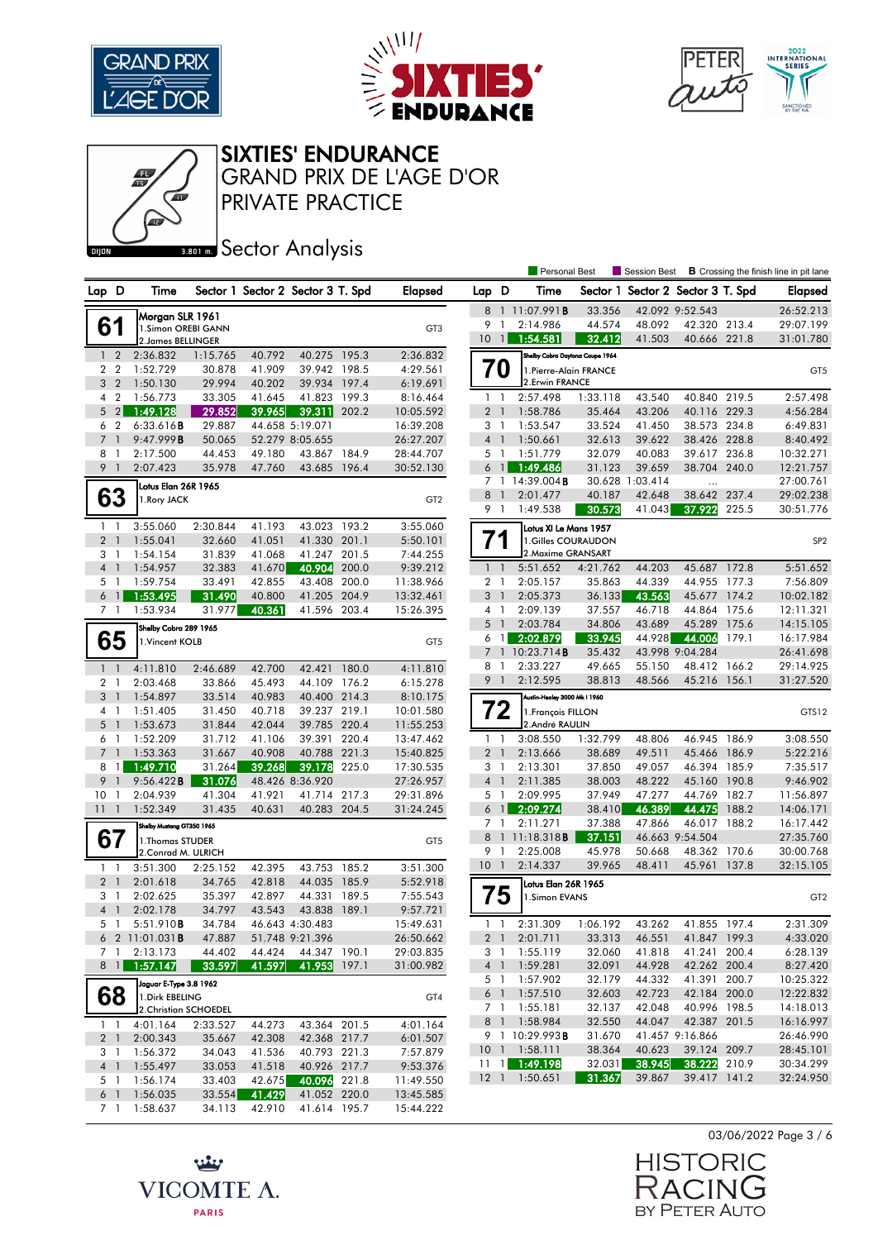





#### SIXTIES' ENDURANCE

PRIVATE PRACTICE GRAND PRIX DE L'AGE D'OR

## **BRONES** Sector Analysis

|                                  |                |                           |                  |                  |                                   |       |                      |                 |                | <b>Personal Best</b>                   |                  | <b>Session Best</b>               |                              |                | <b>B</b> Crossing the finish line in pit lane |
|----------------------------------|----------------|---------------------------|------------------|------------------|-----------------------------------|-------|----------------------|-----------------|----------------|----------------------------------------|------------------|-----------------------------------|------------------------------|----------------|-----------------------------------------------|
| Lap D                            |                | Time                      |                  |                  | Sector 1 Sector 2 Sector 3 T. Spd |       | <b>Elapsed</b>       | Lap D           |                | Time                                   |                  | Sector 1 Sector 2 Sector 3 T. Spd |                              |                | Elapsed                                       |
|                                  |                | Morgan SLR 1961           |                  |                  |                                   |       |                      | 8               |                | 11:07.991B                             | 33.356           |                                   | 42.092 9:52.543              |                | 26:52.213                                     |
|                                  | 61             | 1.Simon OREBI GANN        |                  |                  |                                   |       | GT <sub>3</sub>      | 9               | $\overline{1}$ | 2:14.986                               | 44.574           | 48.092                            | 42.320 213.4                 |                | 29:07.199                                     |
|                                  |                | 2. James BELLINGER        |                  |                  |                                   |       |                      | 10 <sup>°</sup> | $\vert$ 1      | 1:54.581                               | 32.412           | 41.503                            | 40.666 221.8                 |                | 31:01.780                                     |
|                                  | 1 <sub>2</sub> | 2:36.832                  | 1:15.765         | 40.792           | 40.275 195.3                      |       | 2:36.832             |                 |                | Shelby Cobra Daytona Coupe 1964        |                  |                                   |                              |                |                                               |
|                                  | 2 <sub>2</sub> | 1:52.729                  | 30.878           | 41.909           | 39.942 198.5                      |       | 4:29.561             |                 | 70             | 1. Pierre-Alain FRANCE                 |                  |                                   |                              |                | GT5                                           |
|                                  | 3 <sub>2</sub> | 1:50.130                  | 29.994           | 40.202           | 39.934 197.4                      |       | 6:19.691             |                 |                | 2. Erwin FRANCE                        |                  |                                   |                              |                |                                               |
|                                  | 4 2            | 1:56.773                  | 33.305           | 41.645           | 41.823                            | 199.3 | 8:16.464             | $1\quad$        |                | 2:57.498                               | 1:33.118         | 43.540                            | 40.840                       | 219.5          | 2:57.498                                      |
|                                  | $5 \quad 2$    | 1:49.128                  | 29.852           | 39.965           | 39.311                            | 202.2 | 10:05.592            | 2 <sub>1</sub>  |                | 1:58.786                               | 35.464           | 43.206                            | 40.116 229.3                 |                | 4:56.284                                      |
| 6                                | $\overline{2}$ | 6:33.616B                 | 29.887           |                  | 44.658 5:19.071                   |       | 16:39.208            | 3 1             |                | 1:53.547                               | 33.524           | 41.450                            | 38.573                       | 234.8          | 6:49.831                                      |
| $\overline{7}$                   | $\overline{1}$ | 9:47.999B                 | 50.065           |                  | 52.279 8:05.655                   |       | 26:27.207            | 4 <sup>1</sup>  |                | 1:50.661                               | 32.613           | 39.622                            | 38.426 228.8                 |                | 8:40.492                                      |
| 8                                | -1             | 2:17.500                  | 44.453           | 49.180           | 43.867                            | 184.9 | 28:44.707            | 5 1             |                | 1:51.779                               | 32.079           | 40.083                            | 39.617                       | 236.8          | 10:32.271                                     |
| 9 <sub>1</sub>                   |                | 2:07.423                  | 35.978           | 47.760           | 43.685                            | 196.4 | 30:52.130            | 6               | $\overline{1}$ | 1:49.486                               | 31.123           | 39.659                            | 38.704 240.0                 |                | 12:21.757                                     |
|                                  |                | Lotus Elan 26R 1965       |                  |                  |                                   |       |                      |                 |                | 7 1 14:39.004 <b>B</b>                 |                  | 30.628 1:03.414                   | $\ddotsc$                    |                | 27:00.761                                     |
|                                  | 63             | 1. Rory JACK              |                  |                  |                                   |       | GT <sub>2</sub>      | 8               | -1             | 2:01.477                               | 40.187           | 42.648                            | 38.642                       | 237.4          | 29:02.238                                     |
|                                  |                |                           |                  |                  |                                   |       |                      | 9 1             |                | 1:49.538                               | 30.573           | 41.043                            | 37.922                       | 225.5          | 30:51.776                                     |
|                                  | $1\quad$       | 3:55.060                  | 2:30.844         | 41.193           | 43.023 193.2                      |       | 3:55.060             |                 |                | Lotus XI Le Mans 1957                  |                  |                                   |                              |                |                                               |
| 2 <sub>1</sub>                   |                | 1:55.041                  | 32.660           | 41.051           | 41.330                            | 201.1 | 5:50.101             | 71              |                | 1.Gilles COURAUDON                     |                  |                                   |                              |                | SP <sub>2</sub>                               |
| 3 <sub>1</sub>                   |                | 1:54.154                  | 31.839           | 41.068           | 41.247 201.5                      |       | 7:44.255             |                 |                | 2. Maxime GRANSART                     |                  |                                   |                              |                |                                               |
| 4 <sub>1</sub>                   |                | 1:54.957                  | 32.383           | 41.670           | 40.904                            | 200.0 | 9:39.212             | 1 <sup>1</sup>  |                | 5:51.652                               | 4:21.762         | 44.203                            | 45.687 172.8                 |                | 5:51.652                                      |
|                                  | 5 <sub>1</sub> | 1:59.754                  | 33.491           | 42.855           | 43.408                            | 200.0 | 11:38.966            | 2 <sub>1</sub>  |                | 2:05.157                               | 35.863           | 44.339                            | 44.955                       | 177.3          | 7:56.809                                      |
|                                  | 6 <sub>1</sub> | 1:53.495                  | 31.490           | 40.800           | 41.205 204.9                      |       | 13:32.461            | 3               | $\overline{1}$ | 2:05.373                               | 36.133           | 43.563                            | 45.677 174.2                 |                | 10:02.182                                     |
|                                  | 7 <sub>1</sub> | 1:53.934                  | 31.977           | 40.361           | 41.596 203.4                      |       | 15:26.395            | 4 1<br>5        | $\overline{1}$ | 2:09.139<br>2:03.784                   | 37.557           | 46.718                            | 44.864 175.6<br>45.289       |                | 12:11.321                                     |
|                                  |                | Shelby Cobra 289 1965     |                  |                  |                                   |       |                      | 6               | - 1            | 2:02.879                               | 34.806<br>33.945 | 43.689<br>44.928                  | 44.006                       | 175.6<br>179.1 | 14:15.105<br>16:17.984                        |
|                                  | 65             | 1. Vincent KOLB           |                  |                  |                                   |       | GT5                  |                 |                | 7 1 10:23.714B                         | 35.432           |                                   | 43.998 9:04.284              |                | 26:41.698                                     |
|                                  |                |                           |                  |                  |                                   |       |                      | 8               | $\overline{1}$ | 2:33.227                               | 49.665           | 55.150                            | 48.412                       | 166.2          | 29:14.925                                     |
| $1\quad$                         |                | 4:11.810<br>2:03.468      | 2:46.689         | 42.700           | 42.421<br>44.109 176.2            | 180.0 | 4:11.810             | 9 1             |                | 2:12.595                               | 38.813           | 48.566                            | 45.216 156.1                 |                | 31:27.520                                     |
| $\overline{2}$<br>3 <sup>1</sup> | -1             | 1:54.897                  | 33.866<br>33.514 | 45.493<br>40.983 | 40.400 214.3                      |       | 6:15.278<br>8:10.175 |                 |                | Austin-Healey 3000 Mk I 1960           |                  |                                   |                              |                |                                               |
| 4 1                              |                | 1:51.405                  | 31.450           | 40.718           | 39.237 219.1                      |       | 10:01.580            |                 | 72             |                                        |                  |                                   |                              |                |                                               |
|                                  | $5-1$          | 1:53.673                  | 31.844           | 42.044           | 39.785 220.4                      |       | 11:55.253            |                 |                | 1. François FILLON<br>2.André RAULIN   |                  |                                   |                              |                | GTS12                                         |
|                                  | 6 1            | 1:52.209                  | 31.712           | 41.106           | 39.391 220.4                      |       | 13:47.462            |                 | $1\quad$       | 3:08.550                               | 1:32.799         | 48.806                            | 46.945                       | 186.9          | 3:08.550                                      |
| $7^{\circ}$                      | $\mathbf{1}$   | 1:53.363                  | 31.667           | 40.908           | 40.788 221.3                      |       | 15:40.825            | 2 <sub>1</sub>  |                | 2:13.666                               | 38.689           | 49.511                            | 45.466                       | 186.9          | 5:22.216                                      |
|                                  | 8 1            | 1:49.710                  | 31.264           | 39.268           | 39.178                            | 225.0 | 17:30.535            | 31              |                | 2:13.301                               | 37.850           | 49.057                            | 46.394 185.9                 |                | 7:35.517                                      |
| 9                                | $\overline{1}$ | 9:56.422B                 | 31.076           |                  | 48.426 8:36.920                   |       | 27:26.957            | $4-1$           |                | 2:11.385                               | 38.003           | 48.222                            | 45.160                       | 190.8          | 9:46.902                                      |
| 10                               | -1             | 2:04.939                  | 41.304           | 41.921           | 41.714                            | 217.3 | 29:31.896            | 5               | $\overline{1}$ | 2:09.995                               | 37.949           | 47.277                            | 44.769                       | 182.7          | 11:56.897                                     |
| 111                              |                | 1:52.349                  | 31.435           | 40.631           | 40.283 204.5                      |       | 31:24.245            |                 | 6 1            | 2:09.274                               | 38.410           | 46.389                            | 44.475                       | 188.2          | 14:06.171                                     |
|                                  |                | Shelby Mustang GT350 1965 |                  |                  |                                   |       |                      | 7 1             |                | 2:11.271                               | 37.388           | 47.866                            | 46.017 188.2                 |                | 16:17.442                                     |
| 67                               |                | 1. Thomas STUDER          |                  |                  |                                   |       | GT <sub>5</sub>      | 8               |                | $11:18.318$ <b>B</b>                   | 37.151           |                                   | 46.663 9:54.504              |                | 27:35.760                                     |
|                                  |                | 2. Conrad M. ULRICH       |                  |                  |                                   |       |                      | 9 1             |                | 2:25.008                               | 45.978           | 50.668                            | 48.362 170.6                 |                | 30:00.768                                     |
| $\mathbf{1}$                     | -1             | 3:51.300                  | 2:25.152         | 42.395           | 43.753                            | 185.2 | 3:51.300             | $10-1$          |                | 2:14.337                               | 39.965           | 48.411                            | 45.961 137.8                 |                | 32:15.105                                     |
| 2 <sub>1</sub>                   |                | 2:01.618                  | 34.765           | 42.818           | 44.035 185.9                      |       | 5:52.918             |                 |                | Lotus Elan 26R 1965                    |                  |                                   |                              |                |                                               |
|                                  | 3 1            | 2:02.625                  | 35.397           | 42.897           | 44.331                            | 189.5 | 7:55.543             |                 | 75             | 1.Simon EVANS                          |                  |                                   |                              |                | GT <sub>2</sub>                               |
| 4 <sup>1</sup>                   |                | 2:02.178                  | 34.797           | 43.543           | 43.838                            | 189.1 | 9:57.721             |                 |                |                                        |                  |                                   |                              |                |                                               |
|                                  | 5 1            | 5:51.910 <b>B</b>         | 34.784           |                  | 46.643 4:30.483                   |       | 15:49.631            |                 | $1\quad1$      | 2:31.309                               | 1:06.192         | 43.262                            | 41.855 197.4                 |                | 2:31.309                                      |
|                                  |                | 6 2 11:01.031B            | 47.887           |                  | 51.748 9:21.396                   |       | 26:50.662            |                 |                | 2 1 2:01.711                           | 33.313           | 46.551                            | 41.847 199.3                 |                | 4:33.020                                      |
|                                  | 7 1            | 2:13.173                  | 44.402           | 44.424           | 44.347 190.1                      |       | 29:03.835            |                 | 31             | 1:55.119                               | 32.060           | 41.818                            | 41.241 200.4                 |                | 6:28.139                                      |
|                                  | $8 \mid$       | 1:57.147                  | 33.597           | 41.597           | 41.953 197.1                      |       | 31:00.982            | 4 <sup>1</sup>  |                | 1:59.281                               | 32.091           | 44.928                            | 42.262 200.4                 |                | 8:27.420                                      |
|                                  |                | Jaguar E-Type 3.8 1962    |                  |                  |                                   |       |                      |                 | 5 1            | 1:57.902                               | 32.179           | 44.332                            | 41.391 200.7                 |                | 10:25.322                                     |
|                                  | 68             | 1. Dirk EBELING           |                  |                  |                                   |       | GT4                  |                 | 6 1            | 1:57.510                               | 32.603           | 42.723                            | 42.184 200.0                 |                | 12:22.832                                     |
|                                  |                | 2. Christian SCHOEDEL     |                  |                  |                                   |       |                      |                 | 7 1            | 1:55.181                               | 32.137           | 42.048                            | 40.996 198.5                 |                | 14:18.013                                     |
|                                  | $1\quad1$      | 4:01.164                  | 2:33.527         | 44.273           | 43.364 201.5                      |       | 4:01.164             |                 |                | 8 1 1:58.984                           | 32.550           | 44.047                            | 42.387 201.5                 |                | 16:16.997                                     |
|                                  | 2 <sub>1</sub> | 2:00.343                  | 35.667           | 42.308           | 42.368 217.7                      |       | 6:01.507             |                 |                | 9 1 10:29.993 <b>B</b>                 | 31.670           |                                   | 41.457 9:16.866              |                | 26:46.990                                     |
|                                  | 3 1            | 1:56.372                  | 34.043           | 41.536           | 40.793 221.3                      |       | 7:57.879             |                 |                | 10 1 1:58.111<br>$11 \quad 1$ 1:49.198 | 38.364           | 40.623                            | 39.124 209.7<br>38.222 210.9 |                | 28:45.101<br>30:34.299                        |
|                                  | 4 1            | 1:55.497                  | 33.053           | 41.518           | 40.926 217.7                      |       | 9:53.376             |                 |                |                                        | 32.031<br>31.367 | 38.945                            |                              |                |                                               |
|                                  | 5 1            | 1:56.174                  | 33.403           | 42.675           | 40.096 221.8                      |       | 11:49.550            |                 |                | 12 1 1:50.651                          |                  | 39.867                            | 39.417 141.2                 |                | 32:24.950                                     |
|                                  | $6-1$          | 1:56.035                  | 33.554           | 41.429           | 41.052 220.0                      |       | 13:45.585            |                 |                |                                        |                  |                                   |                              |                |                                               |
|                                  | 7 1            | 1:58.637                  | 34.113           | 42.910           | 41.614 195.7                      |       | 15:44.222            |                 |                |                                        |                  |                                   |                              |                |                                               |



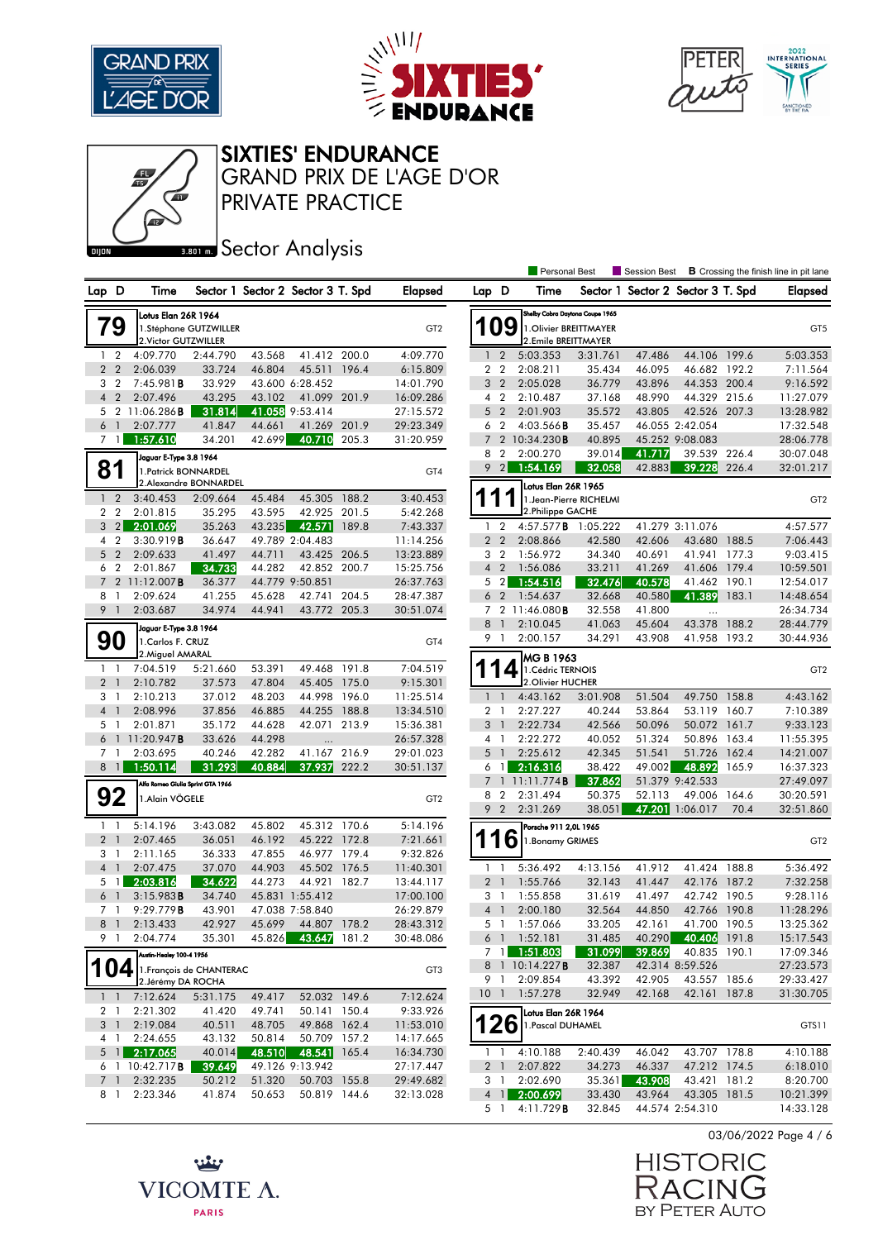





#### SIXTIES' ENDURANCE

PRIVATE PRACTICE GRAND PRIX DE L'AGE D'OR

## **BRONES** Sector Analysis

|                     |                       |                                   |                          |                  |                                   |       |                        |                     |                          | <b>Personal Best</b>                           |                  | Session Best     |                                    |       | <b>B</b> Crossing the finish line in pit lane |
|---------------------|-----------------------|-----------------------------------|--------------------------|------------------|-----------------------------------|-------|------------------------|---------------------|--------------------------|------------------------------------------------|------------------|------------------|------------------------------------|-------|-----------------------------------------------|
| Lap D               |                       | Time                              |                          |                  | Sector 1 Sector 2 Sector 3 T. Spd |       | <b>Elapsed</b>         | Lap D               |                          | Time                                           |                  |                  | Sector 1 Sector 2 Sector 3 T. Spd  |       | <b>Elapsed</b>                                |
|                     |                       | Lotus Elan 26R 1964               |                          |                  |                                   |       |                        |                     |                          | Shelby Cobra Daytona Coupe 1965                |                  |                  |                                    |       |                                               |
|                     | 79                    |                                   | 1.Stéphane GUTZWILLER    |                  |                                   |       | GT <sub>2</sub>        |                     | 09                       | 1. Olivier BREITTMAYER                         |                  |                  |                                    |       | GT <sub>5</sub>                               |
|                     |                       | 2. Victor GUTZWILLER              |                          |                  |                                   |       |                        |                     |                          | 2.Emile BREITTMAYER                            |                  |                  |                                    |       |                                               |
|                     | 1 <sub>2</sub>        | 4:09.770                          | 2:44.790                 | 43.568           | 41.412 200.0                      |       | 4:09.770               | $\mathbf{1}$        | $\overline{2}$           | 5:03.353                                       | 3:31.761         | 47.486           | 44.106 199.6                       |       | 5:03.353                                      |
|                     | 2 <sub>2</sub>        | 2:06.039                          | 33.724                   | 46.804           | 45.511                            | 196.4 | 6:15.809               |                     | 2 <sub>2</sub>           | 2:08.211                                       | 35.434           | 46.095           | 46.682 192.2                       |       | 7:11.564                                      |
| 3                   | $\overline{2}$        | 7:45.981B                         | 33.929                   |                  | 43.600 6:28.452                   |       | 14:01.790              | 3                   | $\overline{2}$           | 2:05.028                                       | 36.779           | 43.896           | 44.353 200.4                       |       | 9:16.592                                      |
| $\overline{4}$      | $\overline{2}$        | 2:07.496                          | 43.295                   | 43.102           | 41.099                            | 201.9 | 16:09.286              |                     | 4 2                      | 2:10.487                                       | 37.168           | 48.990           | 44.329 215.6                       |       | 11:27.079                                     |
|                     |                       | 5 2 11:06.286 <b>B</b>            | 31.814                   |                  | 41.058 9:53.414                   |       | 27:15.572              | 5                   | $\overline{2}$           | 2:01.903                                       | 35.572           | 43.805           | 42.526 207.3                       |       | 13:28.982                                     |
|                     | 6 <sup>1</sup>        | 2:07.777                          | 41.847<br>34.201         | 44.661<br>42.699 | 41.269<br>40.710                  | 201.9 | 29:23.349              | 6<br>$\overline{7}$ | $\overline{2}$           | $4:03.566$ B<br>2 10:34.230B                   | 35.457<br>40.895 |                  | 46.055 2:42.054<br>45.252 9:08.083 |       | 17:32.548                                     |
|                     | 7 <sup>1</sup>        | 1:57.610                          |                          |                  |                                   | 205.3 | 31:20.959              | 8                   | $\overline{2}$           | 2:00.270                                       | 39.014           | 41.717           | 39.539                             | 226.4 | 28:06.778<br>30:07.048                        |
|                     |                       | Jaguar E-Type 3.8 1964            |                          |                  |                                   |       |                        | 9                   | $\vert$ 2                | 1:54.169                                       | 32.058           | 42.883           | 39.228                             | 226.4 | 32:01.217                                     |
|                     | 81                    | 1. Patrick BONNARDEL              | 2.Alexandre BONNARDEL    |                  |                                   |       | GT4                    |                     |                          |                                                |                  |                  |                                    |       |                                               |
| $\mathbf{1}$        | $\overline{2}$        | 3:40.453                          | 2:09.664                 | 45.484           | 45.305                            | 188.2 | 3:40.453               | 1                   | 1                        | Lotus Elan 26R 1965<br>1. Jean-Pierre RICHELMI |                  |                  |                                    |       | GT <sub>2</sub>                               |
| $\mathbf{2}$        | $\overline{2}$        | 2:01.815                          | 35.295                   | 43.595           | 42.925                            | 201.5 | 5:42.268               |                     |                          | 2.Philippe GACHE                               |                  |                  |                                    |       |                                               |
|                     | $3 \quad 2$           | 2:01.069                          | 35.263                   | 43.235           | 42.571                            | 189.8 | 7:43.337               |                     | 1 <sub>2</sub>           | 4:57.577B                                      | 1:05.222         |                  | 41.279 3:11.076                    |       | 4:57.577                                      |
| 4                   | $\overline{2}$        | 3:30.919B                         | 36.647                   |                  | 49.789 2:04.483                   |       | 11:14.256              |                     | 2 <sub>2</sub>           | 2:08.866                                       | 42.580           | 42.606           | 43.680                             | 188.5 | 7:06.443                                      |
| 5 <sup>5</sup>      | $\overline{2}$        | 2:09.633                          | 41.497                   | 44.711           | 43.425                            | 206.5 | 13:23.889              |                     | 3 <sub>2</sub>           | 1:56.972                                       | 34.340           | 40.691           | 41.941 177.3                       |       | 9:03.415                                      |
| 6                   | $\overline{2}$        | 2:01.867                          | 34.733                   | 44.282           | 42.852 200.7                      |       | 15:25.756              |                     | 4 <sup>2</sup>           | 1:56.086                                       | 33.211           | 41.269           | 41.606                             | 179.4 | 10:59.501                                     |
| $7^{\circ}$         |                       | 2 11:12.007B                      | 36.377                   |                  | 44.779 9:50.851                   |       | 26:37.763              | 5                   | $\overline{2}$           | 1:54.516                                       | 32.476           | 40.578           | 41.462 190.1                       |       | 12:54.017                                     |
| 8                   | -1                    | 2:09.624                          | 41.255                   | 45.628           | 42.741                            | 204.5 | 28:47.387              |                     | 6 <sub>2</sub>           | 1:54.637                                       | 32.668           | 40.580           | 41.389                             | 183.1 | 14:48.654                                     |
| 9                   | $\overline{1}$        | 2:03.687                          | 34.974                   | 44.941           | 43.772 205.3                      |       | 30:51.074              |                     |                          | 7 2 11:46.080 <b>B</b>                         | 32.558           | 41.800           | $\ddotsc$                          |       | 26:34.734                                     |
|                     |                       | Jaguar E-Type 3.8 1964            |                          |                  |                                   |       |                        | 8                   | $\overline{1}$           | 2:10.045                                       | 41.063           | 45.604           | 43.378                             | 188.2 | 28:44.779                                     |
|                     | 90                    | 1. Carlos F. CRUZ                 |                          |                  |                                   |       | GT4                    | 9                   | $\mathbf{1}$             | 2:00.157                                       | 34.291           | 43.908           | 41.958 193.2                       |       | 30:44.936                                     |
|                     |                       | 2. Miguel AMARAL                  |                          |                  |                                   |       |                        |                     |                          | MG B 1963                                      |                  |                  |                                    |       |                                               |
|                     | $1\quad$              | 7:04.519                          | 5:21.660                 | 53.391           | 49.468                            | 191.8 | 7:04.519               |                     | 4                        | 1. Cédric TERNOIS                              |                  |                  |                                    |       | GT <sub>2</sub>                               |
|                     | 2 <sub>1</sub>        | 2:10.782                          | 37.573                   | 47.804           | 45.405                            | 175.0 | 9:15.301               |                     |                          | 2. Olivier HUCHER                              |                  |                  |                                    |       |                                               |
| 3<br>$\overline{4}$ | -1                    | 2:10.213                          | 37.012                   | 48.203           | 44.998<br>44.255 188.8            | 196.0 | 11:25.514              |                     | $1\quad$<br>$\mathbf{1}$ | 4:43.162                                       | 3:01.908         | 51.504           | 49.750 158.8                       |       | 4:43.162                                      |
|                     | $\mathbf{1}$<br>5 1   | 2:08.996<br>2:01.871              | 37.856<br>35.172         | 46.885<br>44.628 | 42.071 213.9                      |       | 13:34.510<br>15:36.381 | 2<br>3              | $\overline{1}$           | 2:27.227<br>2:22.734                           | 40.244<br>42.566 | 53.864<br>50.096 | 53.119 160.7<br>50.072 161.7       |       | 7:10.389<br>9:33.123                          |
|                     |                       | 6 1 11:20.947 <b>B</b>            | 33.626                   | 44.298           |                                   |       | 26:57.328              |                     | 4 1                      | 2:22.272                                       | 40.052           | 51.324           | 50.896 163.4                       |       | 11:55.395                                     |
| 7                   | -1                    | 2:03.695                          | 40.246                   | 42.282           | 41.167                            | 216.9 | 29:01.023              | 5                   | $\overline{1}$           | 2:25.612                                       | 42.345           | 51.541           | 51.726                             | 162.4 | 14:21.007                                     |
|                     | $8 \mid$              | 1:50.114                          | 31.293                   | 40.884           | 37.937                            | 222.2 | 30:51.137              |                     | 6 1                      | 2:16.316                                       | 38.422           | 49.002           | 48.892                             | 165.9 | 16:37.323                                     |
|                     |                       | Alfa Romeo Giulia Sprint GTA 1966 |                          |                  |                                   |       |                        |                     |                          | 11:11.774B                                     | 37.862           |                  | 51.379 9:42.533                    |       | 27:49.097                                     |
|                     | 92                    | 1.Alain VÖGELE                    |                          |                  |                                   |       | GT <sub>2</sub>        | 8                   | $\overline{2}$           | 2:31.494                                       | 50.375           | 52.113           | 49.006                             | 164.6 | 30:20.591                                     |
|                     |                       |                                   |                          |                  |                                   |       |                        | 9                   | $\overline{2}$           | 2:31.269                                       | 38.051           |                  | 47.201 1:06.017                    | 70.4  | 32:51.860                                     |
|                     | $1\quad$              | 5:14.196                          | 3:43.082                 | 45.802           | 45.312 170.6                      |       | 5:14.196               |                     |                          | Porsche 911 2,0L 1965                          |                  |                  |                                    |       |                                               |
|                     | 2 <sup>1</sup>        | 2:07.465                          | 36.051                   | 46.192           | 45.222 172.8                      |       | 7:21.661               |                     | 1<br>6                   | 1. Bonamy GRIMES                               |                  |                  |                                    |       | GT <sub>2</sub>                               |
|                     | 3 <sub>1</sub>        | 2:11.165                          | 36.333                   | 47.855           | 46.977 179.4                      |       | 9:32.826               |                     |                          |                                                |                  |                  |                                    |       |                                               |
|                     | 4 <sub>1</sub>        | 2:07.475                          | 37.070                   | 44.903           | 45.502                            | 176.5 | 11:40.301              | 1                   | $\mathbf{1}$             | 5:36.492                                       | 4:13.156         | 41.912           | 41.424                             | 188.8 | 5:36.492                                      |
|                     | $5 \mid$ 1            | 2:03.816                          | 34.622                   | 44.273           | 44.921                            | 182.7 | 13:44.117              |                     | 2 <sub>1</sub>           | 1:55.766                                       | 32.143           | 41.447           | 42.176 187.2                       |       | 7:32.258                                      |
| 6                   | $\overline{1}$        | 3:15.983B                         | 34.740                   |                  | 45.831 1:55.412                   |       | 17:00.100              |                     | 3 1                      | 1:55.858                                       | 31.619           | 41.497           | 42.742 190.5                       |       | 9:28.116                                      |
| $7^{\circ}$         | -1                    | 9:29.779B                         | 43.901                   |                  | 47.038 7:58.840                   |       | 26:29.879              | $\overline{4}$      | $\overline{1}$           | 2:00.180                                       | 32.564           | 44.850           | 42.766 190.8                       |       | 11:28.296                                     |
| 8                   | $\overline{1}$        | 2:13.433                          | 42.927                   | 45.699           | 44.807 178.2                      |       | 28:43.312              |                     | 5 1                      | 1:57.066                                       | 33.205           | 42.161           | 41.700 190.5                       |       | 13:25.362                                     |
|                     | 9 1                   | 2:04.774                          | 35.301                   |                  | 45.826 43.647                     | 181.2 | 30:48.086              |                     |                          | 6 1 1:52.181                                   | 31.485           |                  | 40.290 40.406 191.8                |       | 15:17.543                                     |
|                     |                       | Austin-Healey 100-4 1956          |                          |                  |                                   |       |                        |                     | 7 <sup>1</sup>           | 1:51.803                                       | 31.099           | 39.869           | 40.835 190.1                       |       | 17:09.346                                     |
|                     | 104                   |                                   | 1. François de CHANTERAC |                  |                                   |       | GT3                    |                     | 9 1                      | 8 1 10:14.227 <b>B</b><br>2:09.854             | 32.387           |                  | 42.314 8:59.526<br>43.557 185.6    |       | 27:23.573                                     |
|                     |                       | 2. Jérémy DA ROCHA                |                          |                  |                                   |       |                        |                     |                          |                                                | 43.392<br>32.949 | 42.905<br>42.168 | 42.161 187.8                       |       | 29:33.427                                     |
|                     | $1 \quad 1$           | 7:12.624                          | 5:31.175                 | 49.417           | 52.032 149.6                      |       | 7:12.624               |                     | 10 <sub>1</sub>          | 1:57.278                                       |                  |                  |                                    |       | 31:30.705                                     |
|                     | 2 1                   | 2:21.302<br>2:19.084              | 41.420<br>40.511         | 49.741           | 50.141 150.4<br>49.868 162.4      |       | 9:33.926<br>11:53.010  | 126                 |                          | Lotus Elan 26R 1964                            |                  |                  |                                    |       |                                               |
|                     | 3 <sup>1</sup><br>4 1 | 2:24.655                          | 43.132                   | 48.705<br>50.814 | 50.709 157.2                      |       | 14:17.665              |                     |                          | 1. Pascal DUHAMEL                              |                  |                  |                                    |       | GTS11                                         |
|                     | $5 \text{ } 1$        | 2:17.065                          | 40.014                   | 48.510           | 48.541                            | 165.4 | 16:34.730              |                     | 1 <sub>1</sub>           | 4:10.188                                       | 2:40.439         | 46.042           | 43.707 178.8                       |       | 4:10.188                                      |
|                     |                       | $6$ 1 10:42.717 <b>B</b>          | 39.649                   |                  | 49.126 9:13.942                   |       | 27:17.447              |                     | 2 <sub>1</sub>           | 2:07.822                                       | 34.273           | 46.337           | 47.212 174.5                       |       | 6:18.010                                      |
|                     | 7 <sub>1</sub>        | 2:32.235                          | 50.212                   | 51.320           | 50.703 155.8                      |       | 29:49.682              |                     | 3 1                      | 2:02.690                                       | 35.361           | 43.908           | 43.421 181.2                       |       | 8:20.700                                      |
|                     | 81                    | 2:23.346                          | 41.874                   | 50.653           | 50.819 144.6                      |       | 32:13.028              |                     |                          | 4 1 2:00.699                                   | 33.430           | 43.964           | 43.305 181.5                       |       | 10:21.399                                     |
|                     |                       |                                   |                          |                  |                                   |       |                        |                     | 5 1                      | 4:11.729B                                      | 32.845           |                  | 44.574 2:54.310                    |       | 14:33.128                                     |

03/06/2022 Page 4 / 6



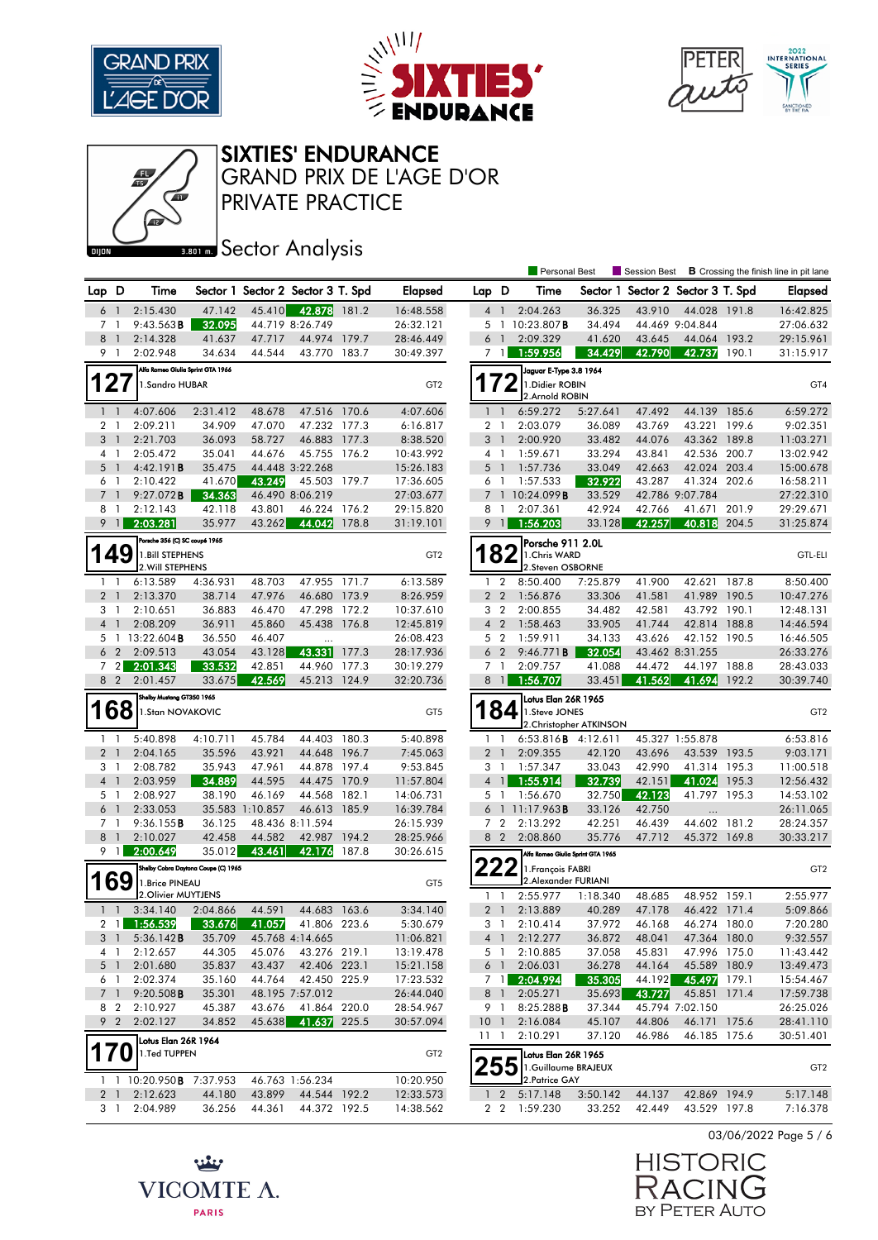





#### SIXTIES' ENDURANCE

PRIVATE PRACTICE GRAND PRIX DE L'AGE D'OR

# **Bank** Sector Analysis

|                |                       |                                             |                                     |                  |                                   |              |                        |                |                | <b>Personal Best</b>                  |                            | <b>Session Best</b>               |                           |                | <b>B</b> Crossing the finish line in pit lane |
|----------------|-----------------------|---------------------------------------------|-------------------------------------|------------------|-----------------------------------|--------------|------------------------|----------------|----------------|---------------------------------------|----------------------------|-----------------------------------|---------------------------|----------------|-----------------------------------------------|
| Lap D          |                       | Time                                        |                                     |                  | Sector 1 Sector 2 Sector 3 T. Spd |              | <b>Elapsed</b>         | Lap D          |                | Time                                  |                            | Sector 1 Sector 2 Sector 3 T. Spd |                           |                | <b>Elapsed</b>                                |
| 6              | $\overline{1}$        | 2:15.430                                    | 47.142                              | 45.410           | 42.878 181.2                      |              | 16:48.558              | $4-1$          |                | 2:04.263                              | 36.325                     | 43.910                            | 44.028 191.8              |                | 16:42.825                                     |
| 7              | -1                    | 9:43.563B                                   | 32.095                              |                  | 44.719 8:26.749                   |              | 26:32.121              |                |                | 5 1 10:23.807B                        | 34.494                     |                                   | 44.469 9:04.844           |                | 27:06.632                                     |
| 8              | $\overline{1}$        | 2:14.328                                    | 41.637                              | 47.717           | 44.974 179.7                      |              | 28:46.449              | 6              | $\overline{1}$ | 2:09.329                              | 41.620                     | 43.645                            | 44.064 193.2              |                | 29:15.961                                     |
|                | 9 1                   | 2:02.948                                    | 34.634                              | 44.544           | 43.770 183.7                      |              | 30:49.397              | 7 <sub>1</sub> |                | 1:59.956                              | 34.429                     | 42.790                            | 42.737                    | 190.1          | 31:15.917                                     |
|                |                       | Alfa Romeo Giulia Sprint GTA 1966           |                                     |                  |                                   |              |                        |                |                | Jaguar E Type 3.8 1964                |                            |                                   |                           |                |                                               |
|                | 127                   | 1. Sandro HUBAR                             |                                     |                  |                                   |              | GT <sub>2</sub>        | 172            |                | 1. Didier ROBIN                       |                            |                                   |                           |                | GT4                                           |
|                |                       |                                             |                                     |                  |                                   |              |                        |                |                | 2.Arnold ROBIN                        |                            |                                   |                           |                |                                               |
|                | 1 <sub>1</sub>        | 4:07.606                                    | 2:31.412                            | 48.678           | 47.516 170.6                      |              | 4:07.606               | $1\quad$       |                | 6:59.272                              | 5:27.641                   | 47.492                            | 44.139 185.6              |                | 6:59.272                                      |
| 2              | $\overline{1}$        | 2:09.211                                    | 34.909                              | 47.070           | 47.232 177.3                      |              | 6:16.817               | 2              | $\overline{1}$ | 2:03.079                              | 36.089                     | 43.769                            | 43.221                    | 199.6          | 9:02.351                                      |
|                | 3 <sup>1</sup>        | 2:21.703                                    | 36.093                              | 58.727           | 46.883 177.3                      |              | 8:38.520               | 3 <sup>1</sup> |                | 2:00.920                              | 33.482                     | 44.076                            | 43.362 189.8              |                | 11:03.271                                     |
|                | 4 1                   | 2:05.472                                    | 35.041                              | 44.676           | 45.755 176.2                      |              | 10:43.992              | $4-1$          |                | 1:59.671                              | 33.294                     | 43.841                            | 42.536 200.7              |                | 13:02.942                                     |
| 5              | $\overline{1}$        | 4:42.191B                                   | 35.475                              |                  | 44.448 3:22.268                   |              | 15:26.183              | $5-1$          |                | 1:57.736                              | 33.049                     | 42.663                            | 42.024 203.4              |                | 15:00.678                                     |
| $\overline{7}$ | 6 1                   | 2:10.422                                    | 41.670                              | 43.249           | 45.503 179.7                      |              | 17:36.605              | 6 1            |                | 1:57.533                              | 32.922                     | 43.287                            | 41.324 202.6              |                | 16:58.211                                     |
|                | $\overline{1}$<br>8 1 | 9:27.072B                                   | 34.363<br>42.118                    |                  | 46.490 8:06.219<br>46.224 176.2   |              | 27:03.677              | 8 1            |                | 7 1 10:24.099 <b>B</b><br>2:07.361    | 33.529<br>42.924           | 42.766                            | 42.786 9:07.784<br>41.671 |                | 27:22.310<br>29:29.671                        |
|                | $9 \mid$              | 2:12.143<br>2:03.281                        | 35.977                              | 43.801<br>43.262 | 44.042                            | 178.8        | 29:15.820              |                | $9$ 1          | 1:56.203                              | 33.128                     | 42.257                            | 40.818                    | 201.9<br>204.5 | 31:25.874                                     |
|                |                       |                                             |                                     |                  |                                   |              | 31:19.101              |                |                |                                       |                            |                                   |                           |                |                                               |
|                |                       | Porsche 356 (C) SC coupé 1965               |                                     |                  |                                   |              |                        |                |                | Porsche 911 2.0L                      |                            |                                   |                           |                |                                               |
|                | 149                   | 1. Bill STEPHENS<br>2. Will STEPHENS        |                                     |                  |                                   |              | GT <sub>2</sub>        |                | 82             | 1. Chris WARD<br>2.Steven OSBORNE     |                            |                                   |                           |                | <b>GTL-ELI</b>                                |
|                | $1\quad$              | 6:13.589                                    | 4:36.931                            | 48.703           | 47.955 171.7                      |              | 6:13.589               |                | $1\quad 2$     | 8:50.400                              | 7:25.879                   | 41.900                            | 42.621                    | 187.8          | 8:50.400                                      |
|                | 2 <sub>1</sub>        | 2:13.370                                    | 38.714                              | 47.976           | 46.680 173.9                      |              | 8:26.959               | 2 <sub>2</sub> |                | 1:56.876                              | 33.306                     | 41.581                            | 41.989 190.5              |                | 10:47.276                                     |
|                | 3 1                   | 2:10.651                                    | 36.883                              | 46.470           | 47.298 172.2                      |              | 10:37.610              | 3              | $\overline{2}$ | 2:00.855                              | 34.482                     | 42.581                            | 43.792 190.1              |                | 12:48.131                                     |
| $\overline{4}$ | $\overline{1}$        | 2:08.209                                    | 36.911                              | 45.860           | 45.438 176.8                      |              | 12:45.819              | 4 <sup>2</sup> |                | 1:58.463                              | 33.905                     | 41.744                            | 42.814 188.8              |                | 14:46.594                                     |
| 5              |                       | 1 13:22.604 <b>B</b>                        | 36.550                              | 46.407           | $\cdots$                          |              | 26:08.423              | 5 <sub>2</sub> |                | 1:59.911                              | 34.133                     | 43.626                            | 42.152 190.5              |                | 16:46.505                                     |
|                | 6 <sub>2</sub>        | 2:09.513                                    | 43.054                              | 43.128           | 43.331                            | 177.3        | 28:17.936              | 6              | $\overline{2}$ | 9:46.771B                             | 32.054                     |                                   | 43.462 8:31.255           |                | 26:33.276                                     |
|                | 72                    | 2:01.343                                    | 33.532                              | 42.851           | 44.960 177.3                      |              | 30:19.279              | 7 <sub>1</sub> |                | 2:09.757                              | 41.088                     | 44.472                            | 44.197                    | 188.8          | 28:43.033                                     |
|                | 8 2                   | 2:01.457                                    | 33.675                              | 42.569           | 45.213 124.9                      |              | 32:20.736              | 8 1            |                | 1:56.707                              | 33.451                     | 41.562                            | 41.694                    | 192.2          | 30:39.740                                     |
|                |                       | Shelby Mustang GT350 1965                   |                                     |                  |                                   |              |                        |                |                | Lotus Elan 26R 1965                   |                            |                                   |                           |                |                                               |
|                | 168                   | 1.Stan NOVAKOVIC                            |                                     |                  |                                   |              | GT <sub>5</sub>        |                | 84             | 1.Steve JONES                         |                            |                                   |                           |                | GT <sub>2</sub>                               |
|                |                       |                                             |                                     |                  |                                   |              |                        |                |                |                                       | 2. Christopher ATKINSON    |                                   |                           |                |                                               |
|                | $1\quad$              | 5:40.898                                    |                                     |                  |                                   | 44.403 180.3 |                        |                |                |                                       | 6:53.816 <b>B</b> 4:12.611 | 45.327 1:55.878                   |                           |                | 6:53.816                                      |
|                |                       |                                             | 4:10.711                            | 45.784           |                                   |              | 5:40.898               | $1\quad$       |                |                                       |                            |                                   |                           |                |                                               |
|                | 2 <sub>1</sub>        | 2:04.165                                    | 35.596                              | 43.921           | 44.648 196.7                      |              | 7:45.063               | 2 <sub>1</sub> |                | 2:09.355                              | 42.120                     | 43.696                            | 43.539 193.5              |                | 9:03.171                                      |
|                | 3 1                   | 2:08.782                                    | 35.943                              | 47.961           | 44.878 197.4                      |              | 9:53.845               | 3 1            |                | 1:57.347                              | 33.043                     | 42.990                            | 41.314 195.3              |                | 11:00.518                                     |
|                | 4 <sub>1</sub>        | 2:03.959                                    | 34.889                              | 44.595           | 44.475 170.9                      |              | 11:57.804              | 4 <sup>1</sup> |                | 1:55.914                              | 32.739                     | 42.151                            | 41.024                    | 195.3          | 12:56.432                                     |
|                | 5 1                   | 2:08.927                                    | 38.190                              | 46.169           | 44.568                            | 182.1        | 14:06.731              | 5 <sub>1</sub> |                | 1:56.670                              | 32.750                     | 42.123                            | 41.797 195.3              |                | 14:53.102                                     |
|                | 6 1                   | 2:33.053                                    |                                     | 35.583 1:10.857  | 46.613 185.9                      |              | 16:39.784              |                |                | 6 1 11:17.963 <b>B</b>                | 33.126                     | 42.750                            |                           |                | 26:11.065                                     |
|                | 7 1                   | 9:36.155B                                   | 36.125                              |                  | 48.436 8:11.594                   |              | 26:15.939              | 7 <sub>2</sub> |                | 2:13.292                              | 42.251                     | 46.439                            | 44.602                    | 181.2          | 28:24.357                                     |
| 8              | $\overline{1}$        | 2:10.027                                    | 42.458                              | 44.582           | 42.987 194.2                      |              | 28:25.966              |                | 8 2            | 2:08.860                              | 35.776                     | 47.712                            | 45.372 169.8              |                | 30:33.217                                     |
| 9              | $\mathbf{1}$          | 2:00.649                                    | 35.012                              | 43.461           | 42.176                            | 187.8        | 30:26.615              |                |                | Alfa Romeo Giulia Sprint GTA 1965     |                            |                                   |                           |                |                                               |
|                |                       |                                             | Shelby Cobra Daytona Coupe (C) 1965 |                  |                                   |              |                        | LLL            |                | 1. François FABRI                     |                            |                                   |                           |                | GT <sub>2</sub>                               |
|                | <b>169</b>            | 1.Brice PINEAU                              |                                     |                  |                                   |              | GT5                    |                |                | 2.Alexander FURIANI                   |                            |                                   |                           |                |                                               |
|                |                       | 2. Olivier MUYTJENS                         |                                     |                  |                                   |              |                        | 1              | $\mathbf{1}$   | 2:55.977                              | 1:18.340                   | 48.685                            | 48.952 159.1              |                | 2:55.977                                      |
|                | $1\quad$              | 3:34.140                                    | 2:04.866                            | 44.591           | 44.683 163.6                      |              | 3:34.140               | 2 <sub>1</sub> |                | 2:13.889                              | 40.289                     | 47.178                            | 46.422 171.4              |                | 5:09.866                                      |
|                | $2 \mid 1 \mid$       | 1:56.539                                    | 33.676                              | 41.057           | 41.806 223.6                      |              | 5:30.679               | 3 1            |                | 2:10.414                              | 37.972                     | 46.168                            | 46.274 180.0              |                | 7:20.280                                      |
|                | 3 1                   | 5:36.142B                                   | 35.709                              |                  | 45.768 4:14.665                   |              | 11:06.821              |                | 4 1            | 2:12.277                              | 36.872                     | 48.041                            | 47.364 180.0              |                | 9:32.557                                      |
|                | 4 1                   | 2:12.657                                    | 44.305                              | 45.076           | 43.276 219.1                      |              | 13:19.478              |                | 5 1            | 2:10.885                              | 37.058                     | 45.831                            | 47.996 175.0              |                | 11:43.442                                     |
|                | 5 <sub>1</sub>        | 2:01.680                                    | 35.837                              | 43.437           | 42.406 223.1                      |              | 15:21.158              | 6 1            |                | 2:06.031                              | 36.278                     | 44.164                            | 45.589 180.9              |                | 13:49.473                                     |
|                | 6 1                   | 2:02.374                                    | 35.160                              | 44.764           | 42.450 225.9                      |              | 17:23.532              |                | 7 1            | 2:04.994                              | 35.305                     | 44.192                            | 45.497                    | 179.1          | 15:54.467                                     |
|                | 7 <sub>1</sub>        | 9:20.508B                                   | 35.301                              |                  | 48.195 7:57.012                   |              | 26:44.040              | 8 1            |                | 2:05.271                              | 35.693                     | 43.727                            | 45.851 171.4              |                | 17:59.738                                     |
|                | 8 2                   | 2:10.927                                    | 45.387                              | 43.676           | 41.864 220.0                      |              | 28:54.967              | 9 1            |                | 8:25.288B                             | 37.344                     |                                   | 45.794 7:02.150           |                | 26:25.026                                     |
|                | 9 <sub>2</sub>        | 2:02.127                                    | 34.852                              | 45.638           | 41.637 225.5                      |              | 30:57.094              | 10             | $\overline{1}$ | 2:16.084                              | 45.107                     | 44.806                            | 46.171 175.6              |                | 28:41.110                                     |
|                |                       | Lotus Elan 26R 1964                         |                                     |                  |                                   |              |                        | 11 1           |                | 2:10.291                              | 37.120                     | 46.986                            | 46.185 175.6              |                | 30:51.401                                     |
|                | 170                   | 1.Ted TUPPEN                                |                                     |                  |                                   |              | GT <sub>2</sub>        |                |                | Lotus Elan 26R 1965                   |                            |                                   |                           |                |                                               |
|                |                       |                                             |                                     |                  |                                   |              |                        |                | 55             | 1.Guillaume BRAJEUX<br>2. Patrice GAY |                            |                                   |                           |                | GT <sub>2</sub>                               |
|                | 2 <sub>1</sub>        | 1 1 10:20.950 <b>B</b> 7:37.953<br>2:12.623 | 44.180                              | 43.899           | 46.763 1:56.234<br>44.544 192.2   |              | 10:20.950<br>12:33.573 |                | $1\quad 2$     | 5:17.148                              | 3:50.142                   | 44.137                            | 42.869 194.9              |                | 5:17.148                                      |

03/06/2022 Page 5 / 6



بيئيه VICOMTE A. **PARIS**